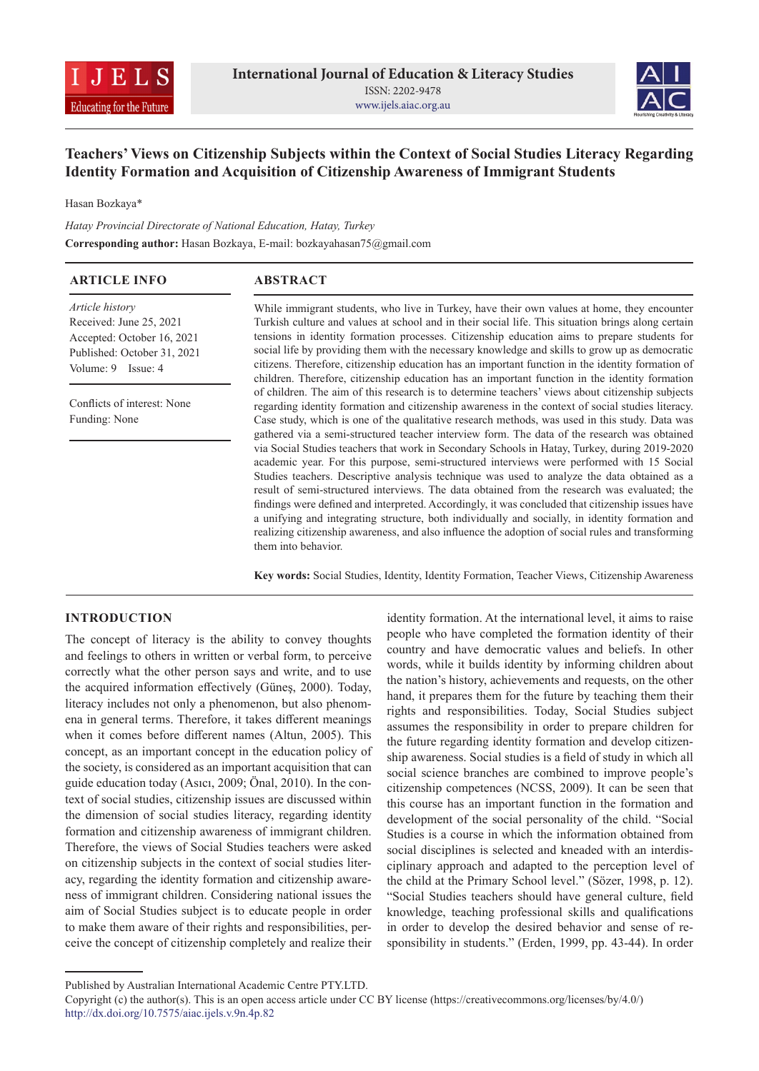



# **Teachers' Views on Citizenship Subjects within the Context of Social Studies Literacy Regarding Identity Formation and Acquisition of Citizenship Awareness of Immigrant Students**

Hasan Bozkaya\*

*Hatay Provincial Directorate of National Education, Hatay, Turkey* **Corresponding author:** Hasan Bozkaya, E-mail: bozkayahasan75@gmail.com

| <b>ARTICLE INFO</b>                                                                                                           | <b>ABSTRACT</b>                                                                                                                                                                                                                                                                                                                                                                                                                                                                                                                                                                                                                                                                                                                                                                                                                                                                                                                                                                                                                                                                                                                                                                                                                            |  |  |
|-------------------------------------------------------------------------------------------------------------------------------|--------------------------------------------------------------------------------------------------------------------------------------------------------------------------------------------------------------------------------------------------------------------------------------------------------------------------------------------------------------------------------------------------------------------------------------------------------------------------------------------------------------------------------------------------------------------------------------------------------------------------------------------------------------------------------------------------------------------------------------------------------------------------------------------------------------------------------------------------------------------------------------------------------------------------------------------------------------------------------------------------------------------------------------------------------------------------------------------------------------------------------------------------------------------------------------------------------------------------------------------|--|--|
| Article history<br>Received: June 25, 2021<br>Accepted: October 16, 2021<br>Published: October 31, 2021<br>Volume: 9 Issue: 4 | While immigrant students, who live in Turkey, have their own values at home, they encounter<br>Turkish culture and values at school and in their social life. This situation brings along certain<br>tensions in identity formation processes. Citizenship education aims to prepare students for<br>social life by providing them with the necessary knowledge and skills to grow up as democratic<br>citizens. Therefore, citizenship education has an important function in the identity formation of                                                                                                                                                                                                                                                                                                                                                                                                                                                                                                                                                                                                                                                                                                                                   |  |  |
| Conflicts of interest: None<br>Funding: None                                                                                  | children. Therefore, citizenship education has an important function in the identity formation<br>of children. The aim of this research is to determine teachers' views about citizenship subjects<br>regarding identity formation and citizenship awareness in the context of social studies literacy.<br>Case study, which is one of the qualitative research methods, was used in this study. Data was<br>gathered via a semi-structured teacher interview form. The data of the research was obtained<br>via Social Studies teachers that work in Secondary Schools in Hatay, Turkey, during 2019-2020<br>academic year. For this purpose, semi-structured interviews were performed with 15 Social<br>Studies teachers. Descriptive analysis technique was used to analyze the data obtained as a<br>result of semi-structured interviews. The data obtained from the research was evaluated; the<br>findings were defined and interpreted. Accordingly, it was concluded that citizenship issues have<br>a unifying and integrating structure, both individually and socially, in identity formation and<br>realizing citizenship awareness, and also influence the adoption of social rules and transforming<br>them into behavior. |  |  |

**Key words:** Social Studies, Identity, Identity Formation, Teacher Views, Citizenship Awareness

## **INTRODUCTION**

The concept of literacy is the ability to convey thoughts and feelings to others in written or verbal form, to perceive correctly what the other person says and write, and to use the acquired information effectively (Güneş, 2000). Today, literacy includes not only a phenomenon, but also phenomena in general terms. Therefore, it takes different meanings when it comes before different names (Altun, 2005). This concept, as an important concept in the education policy of the society, is considered as an important acquisition that can guide education today (Asıcı, 2009; Önal, 2010). In the context of social studies, citizenship issues are discussed within the dimension of social studies literacy, regarding identity formation and citizenship awareness of immigrant children. Therefore, the views of Social Studies teachers were asked on citizenship subjects in the context of social studies literacy, regarding the identity formation and citizenship awareness of immigrant children. Considering national issues the aim of Social Studies subject is to educate people in order to make them aware of their rights and responsibilities, perceive the concept of citizenship completely and realize their

identity formation. At the international level, it aims to raise people who have completed the formation identity of their country and have democratic values and beliefs. In other words, while it builds identity by informing children about the nation's history, achievements and requests, on the other hand, it prepares them for the future by teaching them their rights and responsibilities. Today, Social Studies subject assumes the responsibility in order to prepare children for the future regarding identity formation and develop citizenship awareness. Social studies is a field of study in which all social science branches are combined to improve people's citizenship competences (NCSS, 2009). It can be seen that this course has an important function in the formation and development of the social personality of the child. "Social Studies is a course in which the information obtained from social disciplines is selected and kneaded with an interdisciplinary approach and adapted to the perception level of the child at the Primary School level." (Sözer, 1998, p. 12). "Social Studies teachers should have general culture, field knowledge, teaching professional skills and qualifications in order to develop the desired behavior and sense of responsibility in students." (Erden, 1999, pp. 43-44). In order

Published by Australian International Academic Centre PTY.LTD.

Copyright (c) the author(s). This is an open access article under CC BY license (https://creativecommons.org/licenses/by/4.0/) http://dx.doi.org/10.7575/aiac.ijels.v.9n.4p.82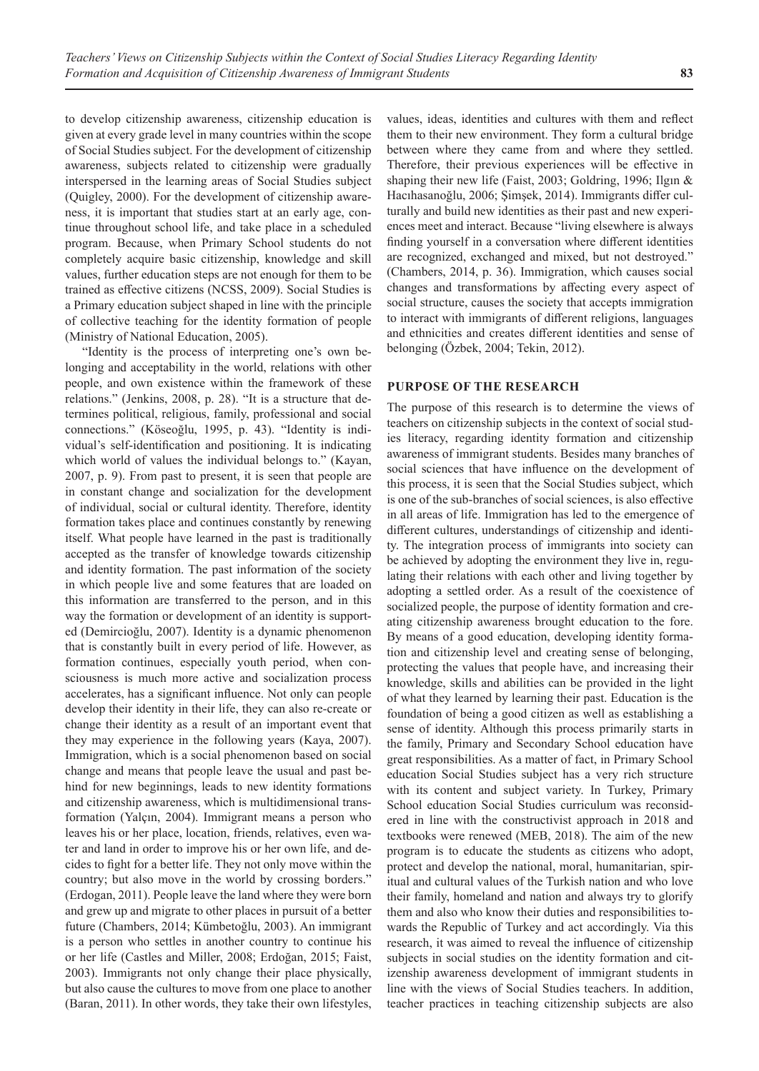to develop citizenship awareness, citizenship education is given at every grade level in many countries within the scope of Social Studies subject. For the development of citizenship awareness, subjects related to citizenship were gradually interspersed in the learning areas of Social Studies subject (Quigley, 2000). For the development of citizenship awareness, it is important that studies start at an early age, continue throughout school life, and take place in a scheduled program. Because, when Primary School students do not completely acquire basic citizenship, knowledge and skill values, further education steps are not enough for them to be trained as effective citizens (NCSS, 2009). Social Studies is a Primary education subject shaped in line with the principle of collective teaching for the identity formation of people (Ministry of National Education, 2005).

"Identity is the process of interpreting one's own belonging and acceptability in the world, relations with other people, and own existence within the framework of these relations." (Jenkins, 2008, p. 28). "It is a structure that determines political, religious, family, professional and social connections." (Köseoğlu, 1995, p. 43). "Identity is individual's self-identification and positioning. It is indicating which world of values the individual belongs to." (Kayan, 2007, p. 9). From past to present, it is seen that people are in constant change and socialization for the development of individual, social or cultural identity. Therefore, identity formation takes place and continues constantly by renewing itself. What people have learned in the past is traditionally accepted as the transfer of knowledge towards citizenship and identity formation. The past information of the society in which people live and some features that are loaded on this information are transferred to the person, and in this way the formation or development of an identity is supported (Demircioğlu, 2007). Identity is a dynamic phenomenon that is constantly built in every period of life. However, as formation continues, especially youth period, when consciousness is much more active and socialization process accelerates, has a significant influence. Not only can people develop their identity in their life, they can also re-create or change their identity as a result of an important event that they may experience in the following years (Kaya, 2007). Immigration, which is a social phenomenon based on social change and means that people leave the usual and past behind for new beginnings, leads to new identity formations and citizenship awareness, which is multidimensional transformation (Yalçın, 2004). Immigrant means a person who leaves his or her place, location, friends, relatives, even water and land in order to improve his or her own life, and decides to fight for a better life. They not only move within the country; but also move in the world by crossing borders." (Erdogan, 2011). People leave the land where they were born and grew up and migrate to other places in pursuit of a better future (Chambers, 2014; Kümbetoğlu, 2003). An immigrant is a person who settles in another country to continue his or her life (Castles and Miller, 2008; Erdoğan, 2015; Faist, 2003). Immigrants not only change their place physically, but also cause the cultures to move from one place to another (Baran, 2011). In other words, they take their own lifestyles,

values, ideas, identities and cultures with them and reflect them to their new environment. They form a cultural bridge between where they came from and where they settled. Therefore, their previous experiences will be effective in shaping their new life (Faist, 2003; Goldring, 1996; Ilgın & Hacıhasanoğlu, 2006; Şimşek, 2014). Immigrants differ culturally and build new identities as their past and new experiences meet and interact. Because "living elsewhere is always finding yourself in a conversation where different identities are recognized, exchanged and mixed, but not destroyed." (Chambers, 2014, p. 36). Immigration, which causes social changes and transformations by affecting every aspect of social structure, causes the society that accepts immigration to interact with immigrants of different religions, languages and ethnicities and creates different identities and sense of belonging (Özbek, 2004; Tekin, 2012).

#### **PURPOSE OF THE RESEARCH**

The purpose of this research is to determine the views of teachers on citizenship subjects in the context of social studies literacy, regarding identity formation and citizenship awareness of immigrant students. Besides many branches of social sciences that have influence on the development of this process, it is seen that the Social Studies subject, which is one of the sub-branches of social sciences, is also effective in all areas of life. Immigration has led to the emergence of different cultures, understandings of citizenship and identity. The integration process of immigrants into society can be achieved by adopting the environment they live in, regulating their relations with each other and living together by adopting a settled order. As a result of the coexistence of socialized people, the purpose of identity formation and creating citizenship awareness brought education to the fore. By means of a good education, developing identity formation and citizenship level and creating sense of belonging, protecting the values that people have, and increasing their knowledge, skills and abilities can be provided in the light of what they learned by learning their past. Education is the foundation of being a good citizen as well as establishing a sense of identity. Although this process primarily starts in the family, Primary and Secondary School education have great responsibilities. As a matter of fact, in Primary School education Social Studies subject has a very rich structure with its content and subject variety. In Turkey, Primary School education Social Studies curriculum was reconsidered in line with the constructivist approach in 2018 and textbooks were renewed (MEB, 2018). The aim of the new program is to educate the students as citizens who adopt, protect and develop the national, moral, humanitarian, spiritual and cultural values of the Turkish nation and who love their family, homeland and nation and always try to glorify them and also who know their duties and responsibilities towards the Republic of Turkey and act accordingly. Via this research, it was aimed to reveal the influence of citizenship subjects in social studies on the identity formation and citizenship awareness development of immigrant students in line with the views of Social Studies teachers. In addition, teacher practices in teaching citizenship subjects are also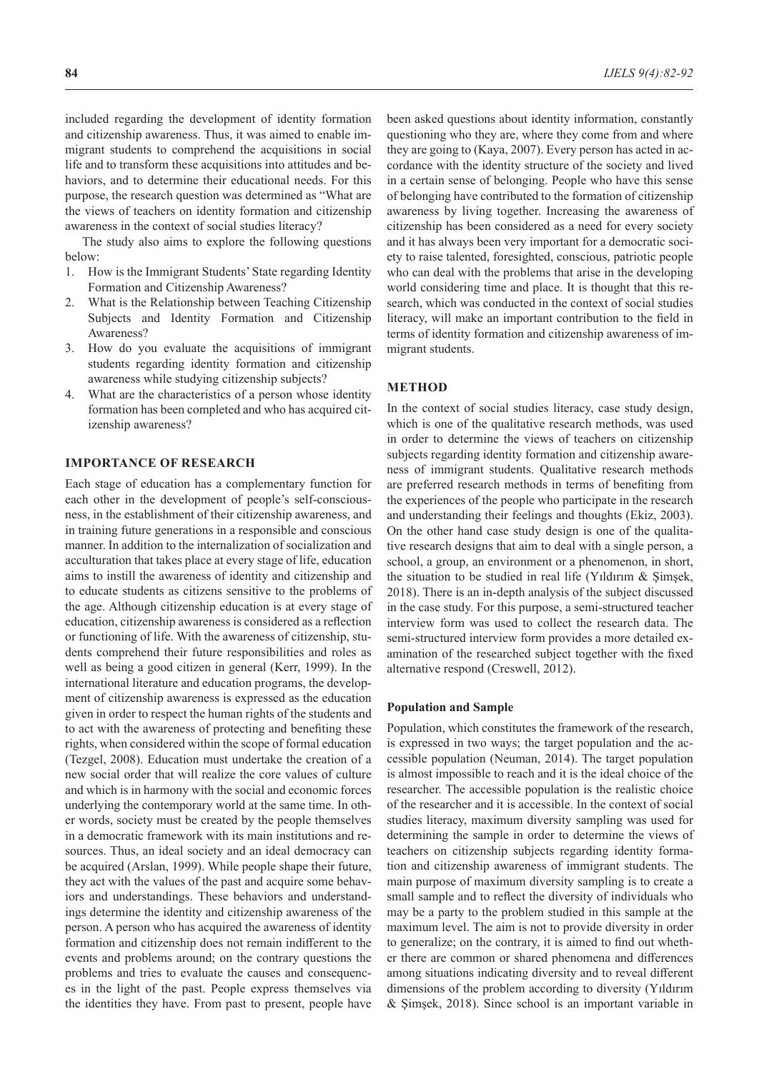included regarding the development of identity formation and citizenship awareness. Thus, it was aimed to enable immigrant students to comprehend the acquisitions in social life and to transform these acquisitions into attitudes and behaviors, and to determine their educational needs. For this purpose, the research question was determined as "What are the views of teachers on identity formation and citizenship awareness in the context of social studies literacy?

The study also aims to explore the following questions below:

- 1. How is the Immigrant Students' State regarding Identity Formation and Citizenship Awareness?
- 2. What is the Relationship between Teaching Citizenship Subjects and Identity Formation and Citizenship Awareness?
- 3. How do you evaluate the acquisitions of immigrant students regarding identity formation and citizenship awareness while studying citizenship subjects?
- 4. What are the characteristics of a person whose identity formation has been completed and who has acquired citizenship awareness?

#### **IMPORTANCE OF RESEARCH**

Each stage of education has a complementary function for each other in the development of people's self-consciousness, in the establishment of their citizenship awareness, and in training future generations in a responsible and conscious manner. In addition to the internalization of socialization and acculturation that takes place at every stage of life, education aims to instill the awareness of identity and citizenship and to educate students as citizens sensitive to the problems of the age. Although citizenship education is at every stage of education, citizenship awareness is considered as a reflection or functioning of life. With the awareness of citizenship, students comprehend their future responsibilities and roles as well as being a good citizen in general (Kerr, 1999). In the international literature and education programs, the development of citizenship awareness is expressed as the education given in order to respect the human rights of the students and to act with the awareness of protecting and benefiting these rights, when considered within the scope of formal education (Tezgel, 2008). Education must undertake the creation of a new social order that will realize the core values of culture and which is in harmony with the social and economic forces underlying the contemporary world at the same time. In other words, society must be created by the people themselves in a democratic framework with its main institutions and resources. Thus, an ideal society and an ideal democracy can be acquired (Arslan, 1999). While people shape their future, they act with the values of the past and acquire some behaviors and understandings. These behaviors and understandings determine the identity and citizenship awareness of the person. A person who has acquired the awareness of identity formation and citizenship does not remain indifferent to the events and problems around; on the contrary questions the problems and tries to evaluate the causes and consequences in the light of the past. People express themselves via the identities they have. From past to present, people have

been asked questions about identity information, constantly questioning who they are, where they come from and where they are going to (Kaya, 2007). Every person has acted in accordance with the identity structure of the society and lived in a certain sense of belonging. People who have this sense of belonging have contributed to the formation of citizenship awareness by living together. Increasing the awareness of citizenship has been considered as a need for every society and it has always been very important for a democratic society to raise talented, foresighted, conscious, patriotic people who can deal with the problems that arise in the developing world considering time and place. It is thought that this research, which was conducted in the context of social studies literacy, will make an important contribution to the field in terms of identity formation and citizenship awareness of immigrant students.

### **METHOD**

In the context of social studies literacy, case study design, which is one of the qualitative research methods, was used in order to determine the views of teachers on citizenship subjects regarding identity formation and citizenship awareness of immigrant students. Qualitative research methods are preferred research methods in terms of benefiting from the experiences of the people who participate in the research and understanding their feelings and thoughts (Ekiz, 2003). On the other hand case study design is one of the qualitative research designs that aim to deal with a single person, a school, a group, an environment or a phenomenon, in short, the situation to be studied in real life (Yıldırım & Şimşek, 2018). There is an in-depth analysis of the subject discussed in the case study. For this purpose, a semi-structured teacher interview form was used to collect the research data. The semi-structured interview form provides a more detailed examination of the researched subject together with the fixed alternative respond (Creswell, 2012).

#### **Population and Sample**

Population, which constitutes the framework of the research, is expressed in two ways; the target population and the accessible population (Neuman, 2014). The target population is almost impossible to reach and it is the ideal choice of the researcher. The accessible population is the realistic choice of the researcher and it is accessible. In the context of social studies literacy, maximum diversity sampling was used for determining the sample in order to determine the views of teachers on citizenship subjects regarding identity formation and citizenship awareness of immigrant students. The main purpose of maximum diversity sampling is to create a small sample and to reflect the diversity of individuals who may be a party to the problem studied in this sample at the maximum level. The aim is not to provide diversity in order to generalize; on the contrary, it is aimed to find out whether there are common or shared phenomena and differences among situations indicating diversity and to reveal different dimensions of the problem according to diversity (Yıldırım & Şimşek, 2018). Since school is an important variable in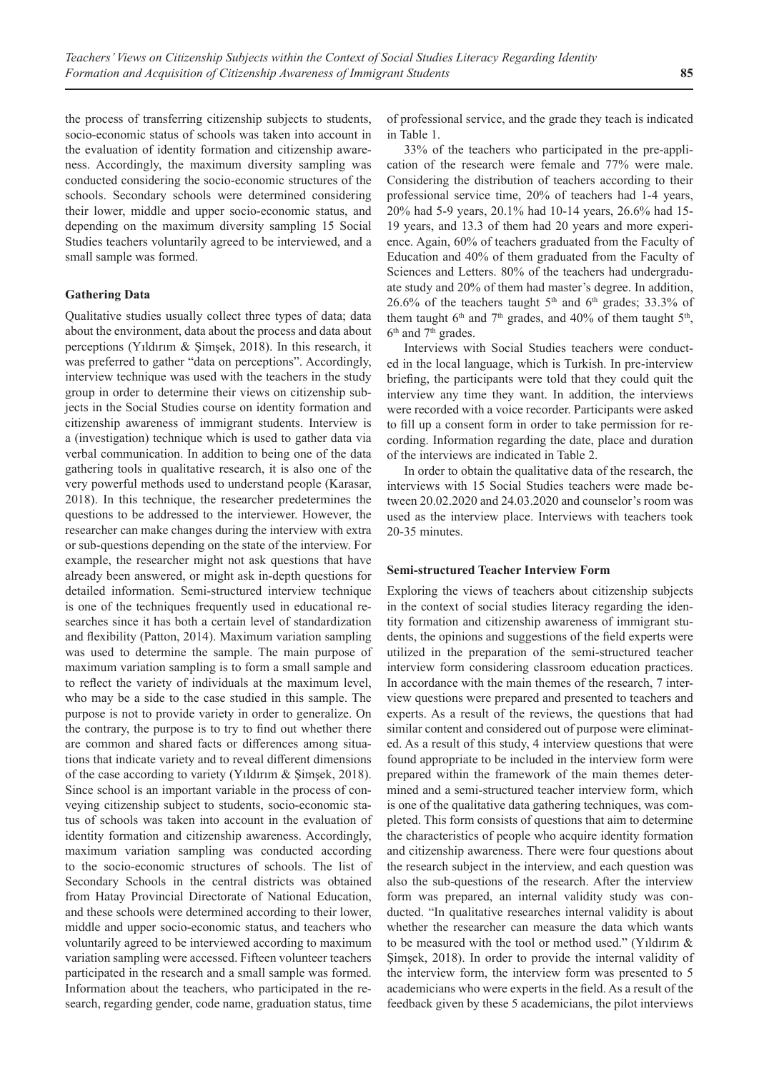the process of transferring citizenship subjects to students, socio-economic status of schools was taken into account in the evaluation of identity formation and citizenship awareness. Accordingly, the maximum diversity sampling was conducted considering the socio-economic structures of the schools. Secondary schools were determined considering their lower, middle and upper socio-economic status, and depending on the maximum diversity sampling 15 Social Studies teachers voluntarily agreed to be interviewed, and a small sample was formed.

#### **Gathering Data**

Qualitative studies usually collect three types of data; data about the environment, data about the process and data about perceptions (Yıldırım & Şimşek, 2018). In this research, it was preferred to gather "data on perceptions". Accordingly, interview technique was used with the teachers in the study group in order to determine their views on citizenship subjects in the Social Studies course on identity formation and citizenship awareness of immigrant students. Interview is a (investigation) technique which is used to gather data via verbal communication. In addition to being one of the data gathering tools in qualitative research, it is also one of the very powerful methods used to understand people (Karasar, 2018). In this technique, the researcher predetermines the questions to be addressed to the interviewer. However, the researcher can make changes during the interview with extra or sub-questions depending on the state of the interview. For example, the researcher might not ask questions that have already been answered, or might ask in-depth questions for detailed information. Semi-structured interview technique is one of the techniques frequently used in educational researches since it has both a certain level of standardization and flexibility (Patton, 2014). Maximum variation sampling was used to determine the sample. The main purpose of maximum variation sampling is to form a small sample and to reflect the variety of individuals at the maximum level, who may be a side to the case studied in this sample. The purpose is not to provide variety in order to generalize. On the contrary, the purpose is to try to find out whether there are common and shared facts or differences among situations that indicate variety and to reveal different dimensions of the case according to variety (Yıldırım & Şimşek, 2018). Since school is an important variable in the process of conveying citizenship subject to students, socio-economic status of schools was taken into account in the evaluation of identity formation and citizenship awareness. Accordingly, maximum variation sampling was conducted according to the socio-economic structures of schools. The list of Secondary Schools in the central districts was obtained from Hatay Provincial Directorate of National Education, and these schools were determined according to their lower, middle and upper socio-economic status, and teachers who voluntarily agreed to be interviewed according to maximum variation sampling were accessed. Fifteen volunteer teachers participated in the research and a small sample was formed. Information about the teachers, who participated in the research, regarding gender, code name, graduation status, time

of professional service, and the grade they teach is indicated in Table 1.

33% of the teachers who participated in the pre-application of the research were female and 77% were male. Considering the distribution of teachers according to their professional service time, 20% of teachers had 1-4 years, 20% had 5-9 years, 20.1% had 10-14 years, 26.6% had 15- 19 years, and 13.3 of them had 20 years and more experience. Again, 60% of teachers graduated from the Faculty of Education and 40% of them graduated from the Faculty of Sciences and Letters. 80% of the teachers had undergraduate study and 20% of them had master's degree. In addition, 26.6% of the teachers taught  $5<sup>th</sup>$  and  $6<sup>th</sup>$  grades; 33.3% of them taught  $6<sup>th</sup>$  and  $7<sup>th</sup>$  grades, and 40% of them taught  $5<sup>th</sup>$ , 6<sup>th</sup> and 7<sup>th</sup> grades.

Interviews with Social Studies teachers were conducted in the local language, which is Turkish. In pre-interview briefing, the participants were told that they could quit the interview any time they want. In addition, the interviews were recorded with a voice recorder. Participants were asked to fill up a consent form in order to take permission for recording. Information regarding the date, place and duration of the interviews are indicated in Table 2.

In order to obtain the qualitative data of the research, the interviews with 15 Social Studies teachers were made between 20.02.2020 and 24.03.2020 and counselor's room was used as the interview place. Interviews with teachers took 20-35 minutes.

#### **Semi-structured Teacher Interview Form**

Exploring the views of teachers about citizenship subjects in the context of social studies literacy regarding the identity formation and citizenship awareness of immigrant students, the opinions and suggestions of the field experts were utilized in the preparation of the semi-structured teacher interview form considering classroom education practices. In accordance with the main themes of the research, 7 interview questions were prepared and presented to teachers and experts. As a result of the reviews, the questions that had similar content and considered out of purpose were eliminated. As a result of this study, 4 interview questions that were found appropriate to be included in the interview form were prepared within the framework of the main themes determined and a semi-structured teacher interview form, which is one of the qualitative data gathering techniques, was completed. This form consists of questions that aim to determine the characteristics of people who acquire identity formation and citizenship awareness. There were four questions about the research subject in the interview, and each question was also the sub-questions of the research. After the interview form was prepared, an internal validity study was conducted. "In qualitative researches internal validity is about whether the researcher can measure the data which wants to be measured with the tool or method used." (Yıldırım & Şimşek, 2018). In order to provide the internal validity of the interview form, the interview form was presented to 5 academicians who were experts in the field. As a result of the feedback given by these 5 academicians, the pilot interviews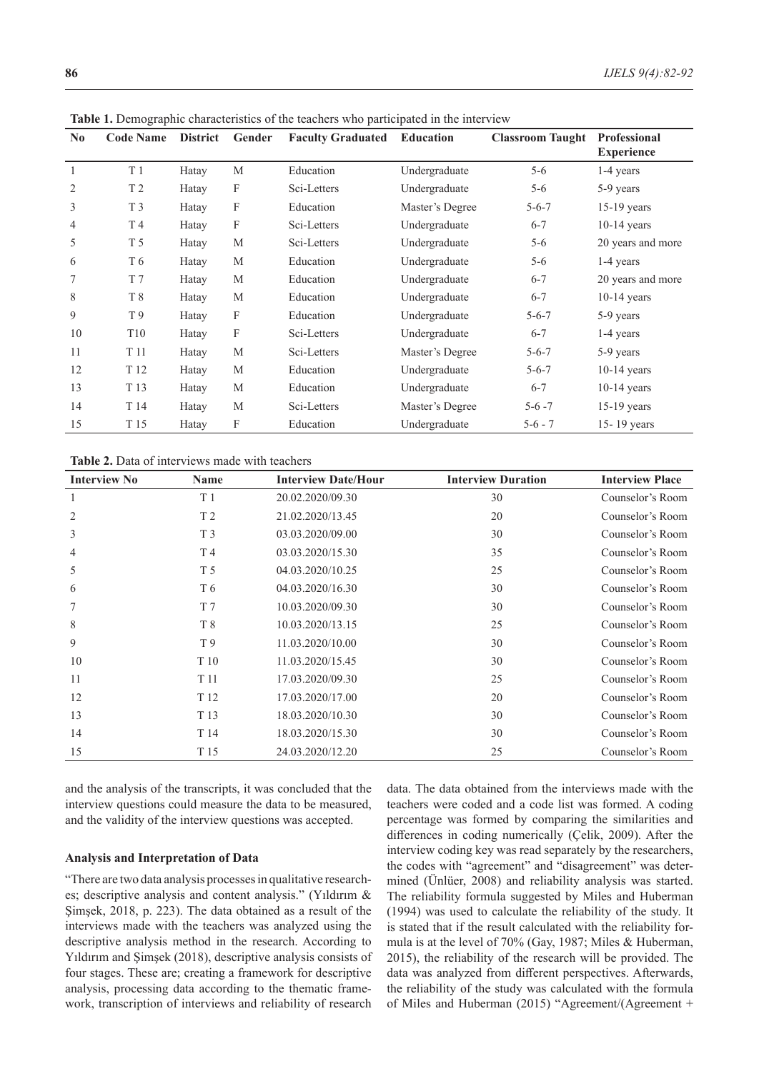| N <sub>0</sub> | <b>Code Name</b> | <b>District</b> | Gender | <b>Faculty Graduated</b> | <b>Education</b> | <b>Classroom Taught</b> | <b>Professional</b> |
|----------------|------------------|-----------------|--------|--------------------------|------------------|-------------------------|---------------------|
|                |                  |                 |        |                          |                  |                         | <b>Experience</b>   |
| $\mathbf{1}$   | T <sub>1</sub>   | Hatay           | M      | Education                | Undergraduate    | $5 - 6$                 | 1-4 years           |
| $\overline{2}$ | T <sub>2</sub>   | Hatay           | F      | Sci-Letters              | Undergraduate    | $5-6$                   | 5-9 years           |
| 3              | T <sub>3</sub>   | Hatay           | F      | Education                | Master's Degree  | $5 - 6 - 7$             | $15-19$ years       |
| 4              | T 4              | Hatay           | F      | Sci-Letters              | Undergraduate    | $6 - 7$                 | $10-14$ years       |
| 5              | T <sub>5</sub>   | Hatay           | M      | Sci-Letters              | Undergraduate    | $5 - 6$                 | 20 years and more   |
| 6              | T 6              | Hatay           | M      | Education                | Undergraduate    | $5-6$                   | 1-4 years           |
| 7              | T 7              | Hatay           | M      | Education                | Undergraduate    | $6 - 7$                 | 20 years and more   |
| 8              | T 8              | Hatay           | M      | Education                | Undergraduate    | $6 - 7$                 | $10-14$ years       |
| 9              | T 9              | Hatay           | F      | Education                | Undergraduate    | $5 - 6 - 7$             | 5-9 years           |
| 10             | T <sub>10</sub>  | Hatay           | F      | Sci-Letters              | Undergraduate    | $6 - 7$                 | 1-4 years           |
| 11             | T 11             | Hatay           | M      | Sci-Letters              | Master's Degree  | $5 - 6 - 7$             | 5-9 years           |
| 12             | T 12             | Hatay           | M      | Education                | Undergraduate    | $5 - 6 - 7$             | $10-14$ years       |
| 13             | T 13             | Hatay           | M      | Education                | Undergraduate    | $6 - 7$                 | $10-14$ years       |
| 14             | T 14             | Hatay           | M      | Sci-Letters              | Master's Degree  | $5 - 6 - 7$             | $15-19$ years       |
| 15             | T 15             | Hatay           | F      | Education                | Undergraduate    | $5 - 6 - 7$             | 15-19 years         |

**Table 1.** Demographic characteristics of the teachers who participated in the interview

**Table 2.** Data of interviews made with teachers

| <b>Interview No</b> | Name           | <b>Interview Date/Hour</b> | <b>Interview Duration</b> | <b>Interview Place</b> |
|---------------------|----------------|----------------------------|---------------------------|------------------------|
| 1                   | T <sub>1</sub> | 20.02.2020/09.30           | 30                        | Counselor's Room       |
| 2                   | T <sub>2</sub> | 21.02.2020/13.45           | 20                        | Counselor's Room       |
| 3                   | T <sub>3</sub> | 03.03.2020/09.00           | 30                        | Counselor's Room       |
| 4                   | T4             | 03.03.2020/15.30           | 35                        | Counselor's Room       |
| 5                   | T 5            | 04.03.2020/10.25           | 25                        | Counselor's Room       |
| 6                   | T <sub>6</sub> | 04.03.2020/16.30           | 30                        | Counselor's Room       |
| 7                   | T <sub>7</sub> | 10.03.2020/09.30           | 30                        | Counselor's Room       |
| 8                   | T <sup>8</sup> | 10.03.2020/13.15           | 25                        | Counselor's Room       |
| 9                   | T 9            | 11.03.2020/10.00           | 30                        | Counselor's Room       |
| 10                  | T 10           | 11.03.2020/15.45           | 30                        | Counselor's Room       |
| 11                  | T 11           | 17.03.2020/09.30           | 25                        | Counselor's Room       |
| 12                  | T 12           | 17.03.2020/17.00           | 20                        | Counselor's Room       |
| 13                  | T 13           | 18.03.2020/10.30           | 30                        | Counselor's Room       |
| 14                  | T 14           | 18.03.2020/15.30           | 30                        | Counselor's Room       |
| 15                  | T 15           | 24.03.2020/12.20           | 25                        | Counselor's Room       |

and the analysis of the transcripts, it was concluded that the interview questions could measure the data to be measured, and the validity of the interview questions was accepted.

#### **Analysis and Interpretation of Data**

"There are two data analysis processes in qualitative researches; descriptive analysis and content analysis." (Yıldırım & Şimşek, 2018, p. 223). The data obtained as a result of the interviews made with the teachers was analyzed using the descriptive analysis method in the research. According to Yıldırım and Şimşek (2018), descriptive analysis consists of four stages. These are; creating a framework for descriptive analysis, processing data according to the thematic framework, transcription of interviews and reliability of research

data. The data obtained from the interviews made with the teachers were coded and a code list was formed. A coding percentage was formed by comparing the similarities and differences in coding numerically (Çelik, 2009). After the interview coding key was read separately by the researchers, the codes with "agreement" and "disagreement" was determined (Ünlüer, 2008) and reliability analysis was started. The reliability formula suggested by Miles and Huberman (1994) was used to calculate the reliability of the study. It is stated that if the result calculated with the reliability formula is at the level of 70% (Gay, 1987; Miles & Huberman, 2015), the reliability of the research will be provided. The data was analyzed from different perspectives. Afterwards, the reliability of the study was calculated with the formula of Miles and Huberman (2015) "Agreement/(Agreement +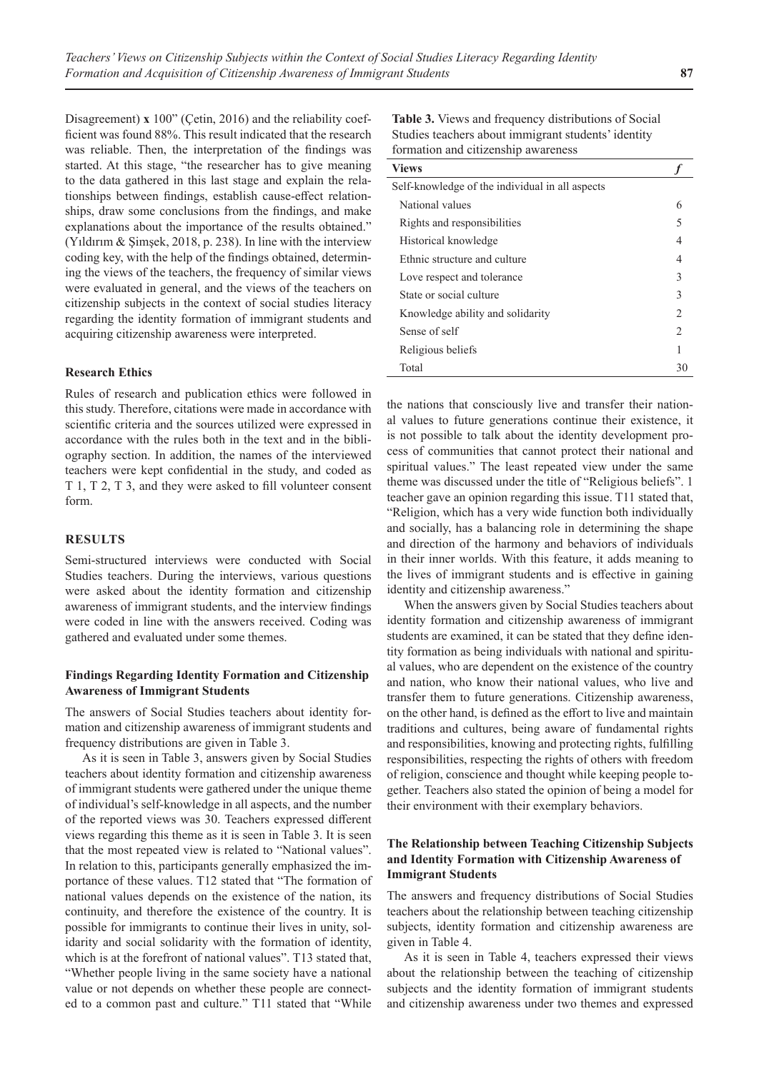Disagreement) **x** 100" (Çetin, 2016) and the reliability coefficient was found 88%. This result indicated that the research was reliable. Then, the interpretation of the findings was started. At this stage, "the researcher has to give meaning to the data gathered in this last stage and explain the relationships between findings, establish cause-effect relationships, draw some conclusions from the findings, and make explanations about the importance of the results obtained." (Yıldırım & Şimşek, 2018, p. 238). In line with the interview coding key, with the help of the findings obtained, determining the views of the teachers, the frequency of similar views were evaluated in general, and the views of the teachers on citizenship subjects in the context of social studies literacy regarding the identity formation of immigrant students and acquiring citizenship awareness were interpreted.

#### **Research Ethics**

Rules of research and publication ethics were followed in this study. Therefore, citations were made in accordance with scientific criteria and the sources utilized were expressed in accordance with the rules both in the text and in the bibliography section. In addition, the names of the interviewed teachers were kept confidential in the study, and coded as T 1, T 2, T 3, and they were asked to fill volunteer consent form.

#### **RESULTS**

Semi-structured interviews were conducted with Social Studies teachers. During the interviews, various questions were asked about the identity formation and citizenship awareness of immigrant students, and the interview findings were coded in line with the answers received. Coding was gathered and evaluated under some themes.

## **Findings Regarding Identity Formation and Citizenship Awareness of Immigrant Students**

The answers of Social Studies teachers about identity formation and citizenship awareness of immigrant students and frequency distributions are given in Table 3.

As it is seen in Table 3, answers given by Social Studies teachers about identity formation and citizenship awareness of immigrant students were gathered under the unique theme of individual's self-knowledge in all aspects, and the number of the reported views was 30. Teachers expressed different views regarding this theme as it is seen in Table 3. It is seen that the most repeated view is related to "National values". In relation to this, participants generally emphasized the importance of these values. T12 stated that "The formation of national values depends on the existence of the nation, its continuity, and therefore the existence of the country. It is possible for immigrants to continue their lives in unity, solidarity and social solidarity with the formation of identity, which is at the forefront of national values". T13 stated that, "Whether people living in the same society have a national value or not depends on whether these people are connected to a common past and culture." T11 stated that "While

**Table 3.** Views and frequency distributions of Social Studies teachers about immigrant students' identity formation and citizenship awareness

| <b>Views</b>                                    |                |
|-------------------------------------------------|----------------|
| Self-knowledge of the individual in all aspects |                |
| National values                                 | 6              |
| Rights and responsibilities                     |                |
| Historical knowledge                            | 4              |
| Ethnic structure and culture                    | 4              |
| Love respect and tolerance                      | 3              |
| State or social culture                         | 3              |
| Knowledge ability and solidarity                | $\mathcal{P}$  |
| Sense of self                                   | $\mathfrak{D}$ |
| Religious beliefs                               |                |
| Total                                           | 30             |

the nations that consciously live and transfer their national values to future generations continue their existence, it is not possible to talk about the identity development process of communities that cannot protect their national and spiritual values." The least repeated view under the same theme was discussed under the title of "Religious beliefs". 1 teacher gave an opinion regarding this issue. T11 stated that, "Religion, which has a very wide function both individually and socially, has a balancing role in determining the shape and direction of the harmony and behaviors of individuals in their inner worlds. With this feature, it adds meaning to the lives of immigrant students and is effective in gaining identity and citizenship awareness."

When the answers given by Social Studies teachers about identity formation and citizenship awareness of immigrant students are examined, it can be stated that they define identity formation as being individuals with national and spiritual values, who are dependent on the existence of the country and nation, who know their national values, who live and transfer them to future generations. Citizenship awareness, on the other hand, is defined as the effort to live and maintain traditions and cultures, being aware of fundamental rights and responsibilities, knowing and protecting rights, fulfilling responsibilities, respecting the rights of others with freedom of religion, conscience and thought while keeping people together. Teachers also stated the opinion of being a model for their environment with their exemplary behaviors.

## **The Relationship between Teaching Citizenship Subjects and Identity Formation with Citizenship Awareness of Immigrant Students**

The answers and frequency distributions of Social Studies teachers about the relationship between teaching citizenship subjects, identity formation and citizenship awareness are given in Table 4.

As it is seen in Table 4, teachers expressed their views about the relationship between the teaching of citizenship subjects and the identity formation of immigrant students and citizenship awareness under two themes and expressed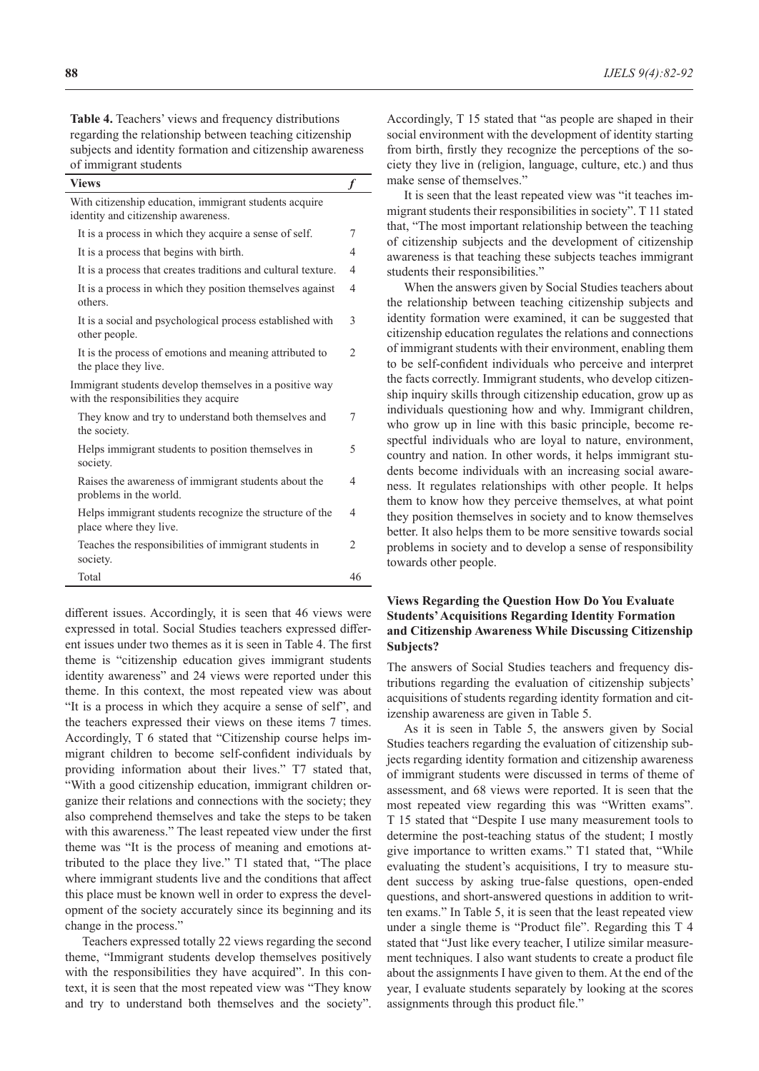**Table 4.** Teachers' views and frequency distributions regarding the relationship between teaching citizenship subjects and identity formation and citizenship awareness of immigrant students

| <b>Views</b>                                                                                      |                |
|---------------------------------------------------------------------------------------------------|----------------|
| With citizenship education, immigrant students acquire<br>identity and citizenship awareness.     |                |
| It is a process in which they acquire a sense of self.                                            | 7              |
| It is a process that begins with birth.                                                           | 4              |
| It is a process that creates traditions and cultural texture.                                     | 4              |
| It is a process in which they position themselves against<br>others.                              | 4              |
| It is a social and psychological process established with<br>other people.                        | 3              |
| It is the process of emotions and meaning attributed to<br>the place they live.                   | $\overline{2}$ |
| Immigrant students develop themselves in a positive way<br>with the responsibilities they acquire |                |
| They know and try to understand both themselves and<br>the society.                               | 7              |
| Helps immigrant students to position themselves in<br>society.                                    | 5              |
| Raises the awareness of immigrant students about the<br>problems in the world.                    | 4              |
| Helps immigrant students recognize the structure of the<br>place where they live.                 | 4              |
| Teaches the responsibilities of immigrant students in<br>society.                                 | $\mathfrak{D}$ |
| Total                                                                                             | 46             |

different issues. Accordingly, it is seen that 46 views were expressed in total. Social Studies teachers expressed different issues under two themes as it is seen in Table 4. The first theme is "citizenship education gives immigrant students identity awareness" and 24 views were reported under this theme. In this context, the most repeated view was about "It is a process in which they acquire a sense of self", and the teachers expressed their views on these items 7 times. Accordingly, T 6 stated that "Citizenship course helps immigrant children to become self-confident individuals by providing information about their lives." T7 stated that, "With a good citizenship education, immigrant children organize their relations and connections with the society; they also comprehend themselves and take the steps to be taken with this awareness." The least repeated view under the first theme was "It is the process of meaning and emotions attributed to the place they live." T1 stated that, "The place where immigrant students live and the conditions that affect this place must be known well in order to express the development of the society accurately since its beginning and its change in the process."

Teachers expressed totally 22 views regarding the second theme, "Immigrant students develop themselves positively with the responsibilities they have acquired". In this context, it is seen that the most repeated view was "They know and try to understand both themselves and the society".

Accordingly, T 15 stated that "as people are shaped in their social environment with the development of identity starting from birth, firstly they recognize the perceptions of the society they live in (religion, language, culture, etc.) and thus make sense of themselves."

It is seen that the least repeated view was "it teaches immigrant students their responsibilities in society". T 11 stated that, "The most important relationship between the teaching of citizenship subjects and the development of citizenship awareness is that teaching these subjects teaches immigrant students their responsibilities."

When the answers given by Social Studies teachers about the relationship between teaching citizenship subjects and identity formation were examined, it can be suggested that citizenship education regulates the relations and connections of immigrant students with their environment, enabling them to be self-confident individuals who perceive and interpret the facts correctly. Immigrant students, who develop citizenship inquiry skills through citizenship education, grow up as individuals questioning how and why. Immigrant children, who grow up in line with this basic principle, become respectful individuals who are loyal to nature, environment, country and nation. In other words, it helps immigrant students become individuals with an increasing social awareness. It regulates relationships with other people. It helps them to know how they perceive themselves, at what point they position themselves in society and to know themselves better. It also helps them to be more sensitive towards social problems in society and to develop a sense of responsibility towards other people.

## **Views Regarding the Question How Do You Evaluate Students' Acquisitions Regarding Identity Formation and Citizenship Awareness While Discussing Citizenship Subjects?**

The answers of Social Studies teachers and frequency distributions regarding the evaluation of citizenship subjects' acquisitions of students regarding identity formation and citizenship awareness are given in Table 5.

As it is seen in Table 5, the answers given by Social Studies teachers regarding the evaluation of citizenship subjects regarding identity formation and citizenship awareness of immigrant students were discussed in terms of theme of assessment, and 68 views were reported. It is seen that the most repeated view regarding this was "Written exams". T 15 stated that "Despite I use many measurement tools to determine the post-teaching status of the student; I mostly give importance to written exams." T1 stated that, "While evaluating the student's acquisitions, I try to measure student success by asking true-false questions, open-ended questions, and short-answered questions in addition to written exams." In Table 5, it is seen that the least repeated view under a single theme is "Product file". Regarding this T 4 stated that "Just like every teacher, I utilize similar measurement techniques. I also want students to create a product file about the assignments I have given to them. At the end of the year, I evaluate students separately by looking at the scores assignments through this product file."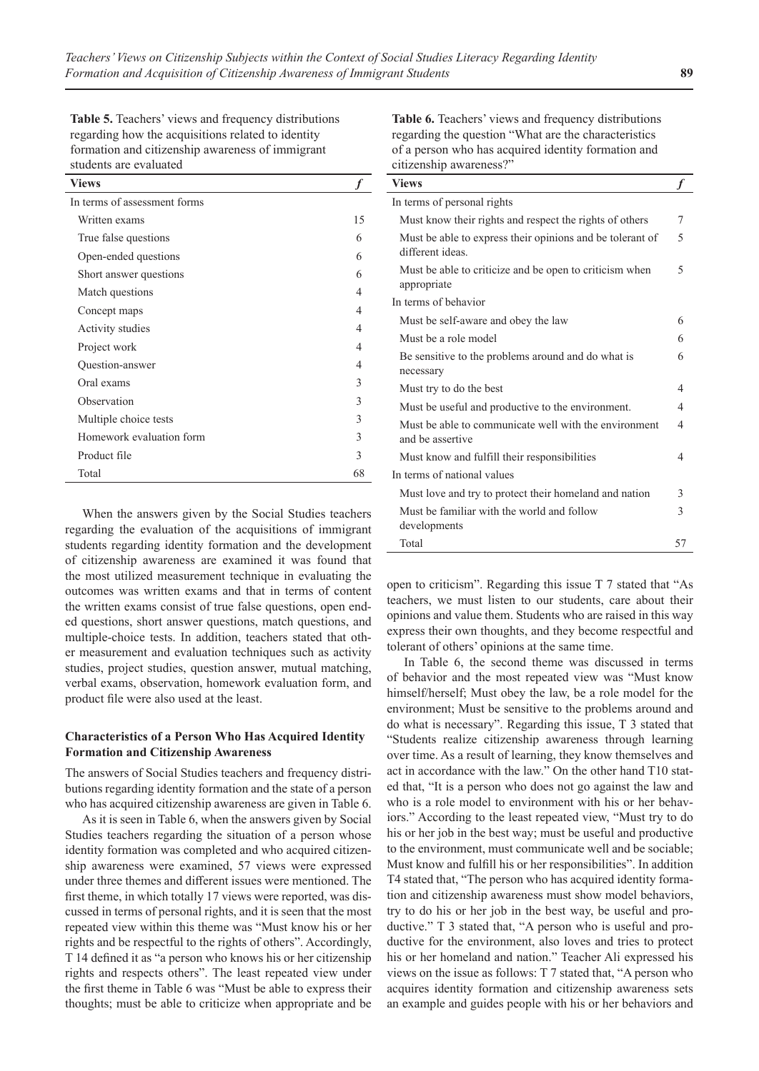**Table 5.** Teachers' views and frequency distributions regarding how the acquisitions related to identity formation and citizenship awareness of immigrant students are evaluated

| <b>Views</b>                 |    |
|------------------------------|----|
| In terms of assessment forms |    |
| Written exams                | 15 |
| True false questions         | 6  |
| Open-ended questions         | 6  |
| Short answer questions       | 6  |
| Match questions              | 4  |
| Concept maps                 | 4  |
| Activity studies             | 4  |
| Project work                 | 4  |
| Question-answer              | 4  |
| Oral exams                   | 3  |
| Observation                  | 3  |
| Multiple choice tests        | 3  |
| Homework evaluation form     | 3  |
| Product file                 | 3  |
| Total                        | 68 |

When the answers given by the Social Studies teachers regarding the evaluation of the acquisitions of immigrant students regarding identity formation and the development of citizenship awareness are examined it was found that the most utilized measurement technique in evaluating the outcomes was written exams and that in terms of content the written exams consist of true false questions, open ended questions, short answer questions, match questions, and multiple-choice tests. In addition, teachers stated that other measurement and evaluation techniques such as activity studies, project studies, question answer, mutual matching, verbal exams, observation, homework evaluation form, and product file were also used at the least.

#### **Characteristics of a Person Who Has Acquired Identity Formation and Citizenship Awareness**

The answers of Social Studies teachers and frequency distributions regarding identity formation and the state of a person who has acquired citizenship awareness are given in Table 6.

As it is seen in Table 6, when the answers given by Social Studies teachers regarding the situation of a person whose identity formation was completed and who acquired citizenship awareness were examined, 57 views were expressed under three themes and different issues were mentioned. The first theme, in which totally 17 views were reported, was discussed in terms of personal rights, and it is seen that the most repeated view within this theme was "Must know his or her rights and be respectful to the rights of others". Accordingly, T 14 defined it as "a person who knows his or her citizenship rights and respects others". The least repeated view under the first theme in Table 6 was "Must be able to express their thoughts; must be able to criticize when appropriate and be

**Table 6.** Teachers' views and frequency distributions regarding the question "What are the characteristics of a person who has acquired identity formation and citizenship awareness?"

| <b>Views</b>                                                                  |    |
|-------------------------------------------------------------------------------|----|
| In terms of personal rights                                                   |    |
| Must know their rights and respect the rights of others                       | 7  |
| Must be able to express their opinions and be tolerant of<br>different ideas. | 5  |
| Must be able to criticize and be open to criticism when<br>appropriate        | 5  |
| In terms of behavior                                                          |    |
| Must be self-aware and obey the law                                           | 6  |
| Must be a role model                                                          | 6  |
| Be sensitive to the problems around and do what is<br>necessary               | 6  |
| Must try to do the best                                                       | 4  |
| Must be useful and productive to the environment.                             | 4  |
| Must be able to communicate well with the environment<br>and be assertive     | 4  |
| Must know and fulfill their responsibilities                                  | 4  |
| In terms of national values                                                   |    |
| Must love and try to protect their homeland and nation                        | 3  |
| Must be familiar with the world and follow<br>developments                    | 3  |
| Total                                                                         | 57 |

open to criticism". Regarding this issue T 7 stated that "As teachers, we must listen to our students, care about their opinions and value them. Students who are raised in this way express their own thoughts, and they become respectful and tolerant of others' opinions at the same time.

In Table 6, the second theme was discussed in terms of behavior and the most repeated view was "Must know himself/herself; Must obey the law, be a role model for the environment; Must be sensitive to the problems around and do what is necessary". Regarding this issue, T 3 stated that "Students realize citizenship awareness through learning over time. As a result of learning, they know themselves and act in accordance with the law." On the other hand T10 stated that, "It is a person who does not go against the law and who is a role model to environment with his or her behaviors." According to the least repeated view, "Must try to do his or her job in the best way; must be useful and productive to the environment, must communicate well and be sociable; Must know and fulfill his or her responsibilities". In addition T4 stated that, "The person who has acquired identity formation and citizenship awareness must show model behaviors, try to do his or her job in the best way, be useful and productive." T 3 stated that, "A person who is useful and productive for the environment, also loves and tries to protect his or her homeland and nation." Teacher Ali expressed his views on the issue as follows: T 7 stated that, "A person who acquires identity formation and citizenship awareness sets an example and guides people with his or her behaviors and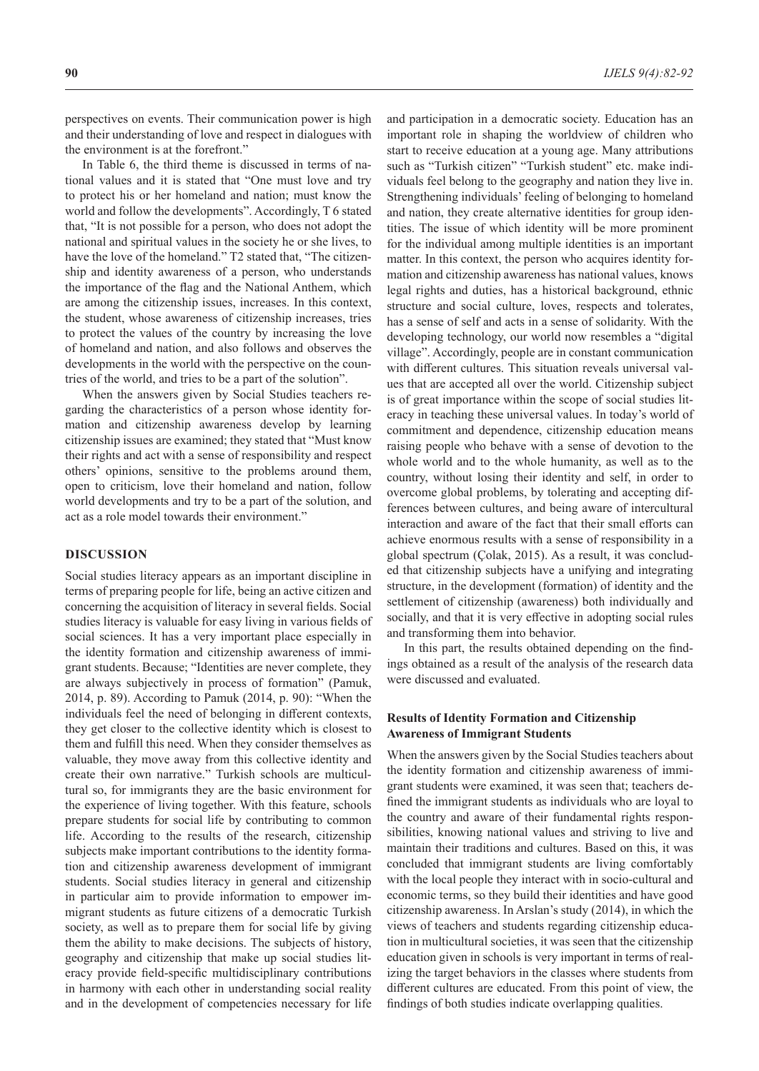perspectives on events. Their communication power is high and their understanding of love and respect in dialogues with the environment is at the forefront."

In Table 6, the third theme is discussed in terms of national values and it is stated that "One must love and try to protect his or her homeland and nation; must know the world and follow the developments". Accordingly, T 6 stated that, "It is not possible for a person, who does not adopt the national and spiritual values in the society he or she lives, to have the love of the homeland." T2 stated that, "The citizenship and identity awareness of a person, who understands the importance of the flag and the National Anthem, which are among the citizenship issues, increases. In this context, the student, whose awareness of citizenship increases, tries to protect the values of the country by increasing the love of homeland and nation, and also follows and observes the developments in the world with the perspective on the countries of the world, and tries to be a part of the solution".

When the answers given by Social Studies teachers regarding the characteristics of a person whose identity formation and citizenship awareness develop by learning citizenship issues are examined; they stated that "Must know their rights and act with a sense of responsibility and respect others' opinions, sensitive to the problems around them, open to criticism, love their homeland and nation, follow world developments and try to be a part of the solution, and act as a role model towards their environment."

#### **DISCUSSION**

Social studies literacy appears as an important discipline in terms of preparing people for life, being an active citizen and concerning the acquisition of literacy in several fields. Social studies literacy is valuable for easy living in various fields of social sciences. It has a very important place especially in the identity formation and citizenship awareness of immigrant students. Because; "Identities are never complete, they are always subjectively in process of formation" (Pamuk, 2014, p. 89). According to Pamuk (2014, p. 90): "When the individuals feel the need of belonging in different contexts, they get closer to the collective identity which is closest to them and fulfill this need. When they consider themselves as valuable, they move away from this collective identity and create their own narrative." Turkish schools are multicultural so, for immigrants they are the basic environment for the experience of living together. With this feature, schools prepare students for social life by contributing to common life. According to the results of the research, citizenship subjects make important contributions to the identity formation and citizenship awareness development of immigrant students. Social studies literacy in general and citizenship in particular aim to provide information to empower immigrant students as future citizens of a democratic Turkish society, as well as to prepare them for social life by giving them the ability to make decisions. The subjects of history, geography and citizenship that make up social studies literacy provide field-specific multidisciplinary contributions in harmony with each other in understanding social reality and in the development of competencies necessary for life

and participation in a democratic society. Education has an important role in shaping the worldview of children who start to receive education at a young age. Many attributions such as "Turkish citizen" "Turkish student" etc. make individuals feel belong to the geography and nation they live in. Strengthening individuals' feeling of belonging to homeland and nation, they create alternative identities for group identities. The issue of which identity will be more prominent for the individual among multiple identities is an important matter. In this context, the person who acquires identity formation and citizenship awareness has national values, knows legal rights and duties, has a historical background, ethnic structure and social culture, loves, respects and tolerates, has a sense of self and acts in a sense of solidarity. With the developing technology, our world now resembles a "digital village". Accordingly, people are in constant communication with different cultures. This situation reveals universal values that are accepted all over the world. Citizenship subject is of great importance within the scope of social studies literacy in teaching these universal values. In today's world of commitment and dependence, citizenship education means raising people who behave with a sense of devotion to the whole world and to the whole humanity, as well as to the country, without losing their identity and self, in order to overcome global problems, by tolerating and accepting differences between cultures, and being aware of intercultural interaction and aware of the fact that their small efforts can achieve enormous results with a sense of responsibility in a global spectrum (Çolak, 2015). As a result, it was concluded that citizenship subjects have a unifying and integrating structure, in the development (formation) of identity and the settlement of citizenship (awareness) both individually and socially, and that it is very effective in adopting social rules and transforming them into behavior.

In this part, the results obtained depending on the findings obtained as a result of the analysis of the research data were discussed and evaluated.

## **Results of Identity Formation and Citizenship Awareness of Immigrant Students**

When the answers given by the Social Studies teachers about the identity formation and citizenship awareness of immigrant students were examined, it was seen that; teachers defined the immigrant students as individuals who are loyal to the country and aware of their fundamental rights responsibilities, knowing national values and striving to live and maintain their traditions and cultures. Based on this, it was concluded that immigrant students are living comfortably with the local people they interact with in socio-cultural and economic terms, so they build their identities and have good citizenship awareness. In Arslan's study (2014), in which the views of teachers and students regarding citizenship education in multicultural societies, it was seen that the citizenship education given in schools is very important in terms of realizing the target behaviors in the classes where students from different cultures are educated. From this point of view, the findings of both studies indicate overlapping qualities.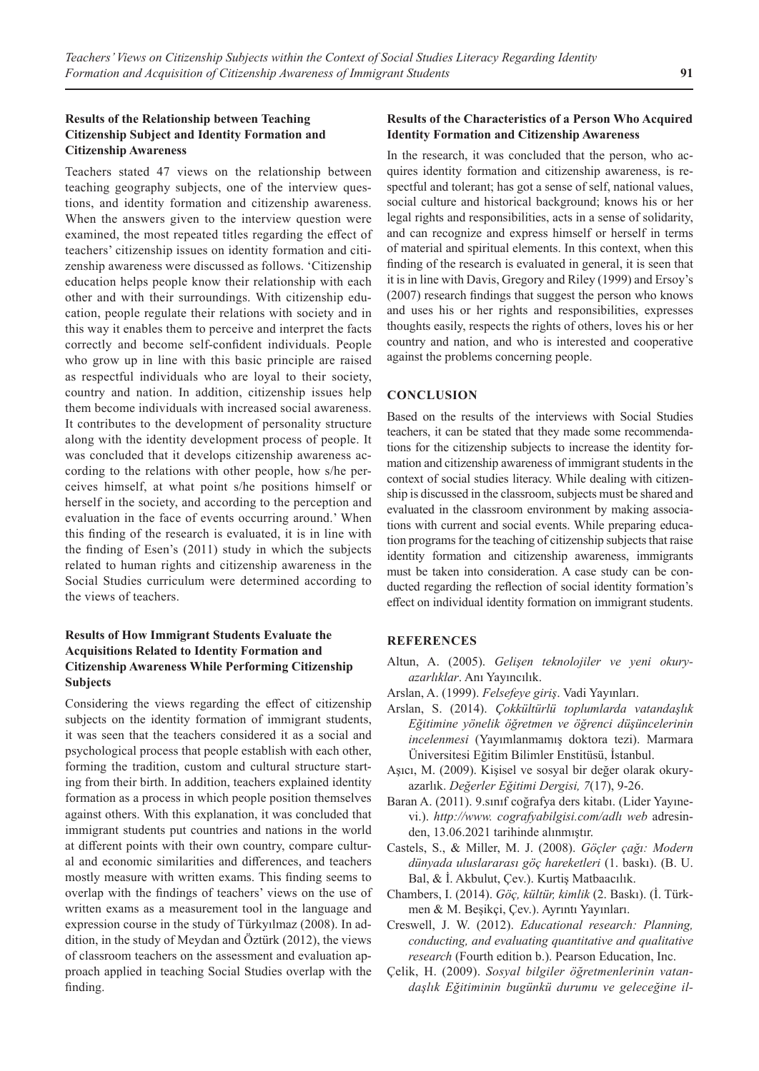## **Results of the Relationship between Teaching Citizenship Subject and Identity Formation and Citizenship Awareness**

Teachers stated 47 views on the relationship between teaching geography subjects, one of the interview questions, and identity formation and citizenship awareness. When the answers given to the interview question were examined, the most repeated titles regarding the effect of teachers' citizenship issues on identity formation and citizenship awareness were discussed as follows. 'Citizenship education helps people know their relationship with each other and with their surroundings. With citizenship education, people regulate their relations with society and in this way it enables them to perceive and interpret the facts correctly and become self-confident individuals. People who grow up in line with this basic principle are raised as respectful individuals who are loyal to their society, country and nation. In addition, citizenship issues help them become individuals with increased social awareness. It contributes to the development of personality structure along with the identity development process of people. It was concluded that it develops citizenship awareness according to the relations with other people, how s/he perceives himself, at what point s/he positions himself or herself in the society, and according to the perception and evaluation in the face of events occurring around.' When this finding of the research is evaluated, it is in line with the finding of Esen's (2011) study in which the subjects related to human rights and citizenship awareness in the Social Studies curriculum were determined according to the views of teachers.

## **Results of How Immigrant Students Evaluate the Acquisitions Related to Identity Formation and Citizenship Awareness While Performing Citizenship Subjects**

Considering the views regarding the effect of citizenship subjects on the identity formation of immigrant students, it was seen that the teachers considered it as a social and psychological process that people establish with each other, forming the tradition, custom and cultural structure starting from their birth. In addition, teachers explained identity formation as a process in which people position themselves against others. With this explanation, it was concluded that immigrant students put countries and nations in the world at different points with their own country, compare cultural and economic similarities and differences, and teachers mostly measure with written exams. This finding seems to overlap with the findings of teachers' views on the use of written exams as a measurement tool in the language and expression course in the study of Türkyılmaz (2008). In addition, in the study of Meydan and Öztürk (2012), the views of classroom teachers on the assessment and evaluation approach applied in teaching Social Studies overlap with the finding.

## **Results of the Characteristics of a Person Who Acquired Identity Formation and Citizenship Awareness**

In the research, it was concluded that the person, who acquires identity formation and citizenship awareness, is respectful and tolerant; has got a sense of self, national values, social culture and historical background; knows his or her legal rights and responsibilities, acts in a sense of solidarity, and can recognize and express himself or herself in terms of material and spiritual elements. In this context, when this finding of the research is evaluated in general, it is seen that it is in line with Davis, Gregory and Riley (1999) and Ersoy's (2007) research findings that suggest the person who knows and uses his or her rights and responsibilities, expresses thoughts easily, respects the rights of others, loves his or her country and nation, and who is interested and cooperative against the problems concerning people.

## **CONCLUSION**

Based on the results of the interviews with Social Studies teachers, it can be stated that they made some recommendations for the citizenship subjects to increase the identity formation and citizenship awareness of immigrant students in the context of social studies literacy. While dealing with citizenship is discussed in the classroom, subjects must be shared and evaluated in the classroom environment by making associations with current and social events. While preparing education programs for the teaching of citizenship subjects that raise identity formation and citizenship awareness, immigrants must be taken into consideration. A case study can be conducted regarding the reflection of social identity formation's effect on individual identity formation on immigrant students.

## **REFERENCES**

- Altun, A. (2005). *Gelişen teknolojiler ve yeni okuryazarlıklar*. Anı Yayıncılık.
- Arslan, A. (1999). *Felsefeye giriş*. Vadi Yayınları.
- Arslan, S. (2014). *Çokkültürlü toplumlarda vatandaşlık Eğitimine yönelik öğretmen ve öğrenci düşüncelerinin incelenmesi* (Yayımlanmamış doktora tezi). Marmara Üniversitesi Eğitim Bilimler Enstitüsü, İstanbul.
- Aşıcı, M. (2009). Kişisel ve sosyal bir değer olarak okuryazarlık. *Değerler Eğitimi Dergisi, 7*(17), 9-26.
- Baran A. (2011). 9.sınıf coğrafya ders kitabı. (Lider Yayınevi.). *http://www. cografyabilgisi.com/adlı web* adresinden, 13.06.2021 tarihinde alınmıştır.
- Castels, S., & Miller, M. J. (2008). *Göçler çağı: Modern dünyada uluslararası göç hareketleri* (1. baskı). (B. U. Bal, & İ. Akbulut, Çev.). Kurtiş Matbaacılık.
- Chambers, I. (2014). *Göç, kültür, kimlik* (2. Baskı). (İ. Türkmen & M. Beşikçi, Çev.). Ayrıntı Yayınları.
- Creswell, J. W. (2012). *Educational research: Planning, conducting, and evaluating quantitative and qualitative research* (Fourth edition b.). Pearson Education, Inc.
- Çelik, H. (2009). *Sosyal bilgiler öğretmenlerinin vatandaşlık Eğitiminin bugünkü durumu ve geleceğine il-*